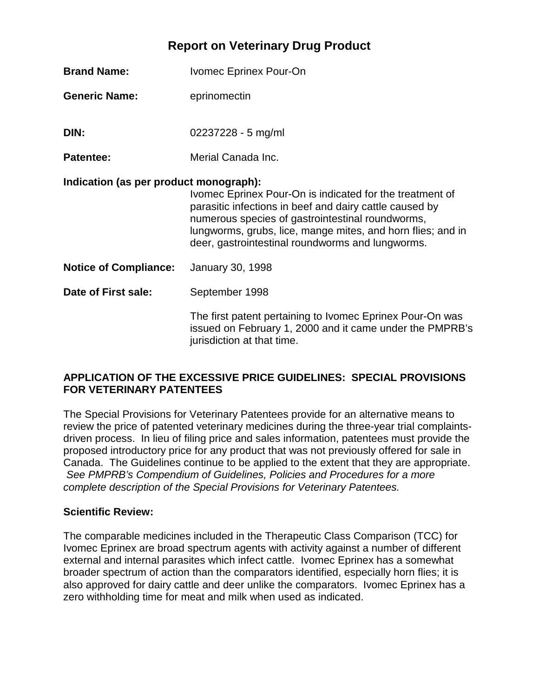## **Report on Veterinary Drug Product**

| <b>Brand Name:</b>                     | Ivomec Eprinex Pour-On                                                                                                                                                                                                                                                                     |  |  |
|----------------------------------------|--------------------------------------------------------------------------------------------------------------------------------------------------------------------------------------------------------------------------------------------------------------------------------------------|--|--|
| <b>Generic Name:</b>                   | eprinomectin                                                                                                                                                                                                                                                                               |  |  |
| DIN:                                   | 02237228 - 5 mg/ml                                                                                                                                                                                                                                                                         |  |  |
| <b>Patentee:</b>                       | Merial Canada Inc.                                                                                                                                                                                                                                                                         |  |  |
| Indication (as per product monograph): | Ivomec Eprinex Pour-On is indicated for the treatment of<br>parasitic infections in beef and dairy cattle caused by<br>numerous species of gastrointestinal roundworms,<br>lungworms, grubs, lice, mange mites, and horn flies; and in<br>deer, gastrointestinal roundworms and lungworms. |  |  |
| <b>Notice of Compliance:</b>           | <b>January 30, 1998</b>                                                                                                                                                                                                                                                                    |  |  |
| Date of First sale:                    | September 1998                                                                                                                                                                                                                                                                             |  |  |
|                                        | The first patent pertaining to Ivomec Eprinex Pour-On was<br>issued on February 1, 2000 and it came under the PMPRB's<br>jurisdiction at that time.                                                                                                                                        |  |  |

## **APPLICATION OF THE EXCESSIVE PRICE GUIDELINES: SPECIAL PROVISIONS FOR VETERINARY PATENTEES**

The Special Provisions for Veterinary Patentees provide for an alternative means to review the price of patented veterinary medicines during the three-year trial complaintsdriven process. In lieu of filing price and sales information, patentees must provide the proposed introductory price for any product that was not previously offered for sale in Canada. The Guidelines continue to be applied to the extent that they are appropriate. *See PMPRB's Compendium of Guidelines, Policies and Procedures for a more complete description of the Special Provisions for Veterinary Patentees.* 

## **Scientific Review:**

The comparable medicines included in the Therapeutic Class Comparison (TCC) for Ivomec Eprinex are broad spectrum agents with activity against a number of different external and internal parasites which infect cattle. Ivomec Eprinex has a somewhat broader spectrum of action than the comparators identified, especially horn flies; it is also approved for dairy cattle and deer unlike the comparators. Ivomec Eprinex has a zero withholding time for meat and milk when used as indicated.